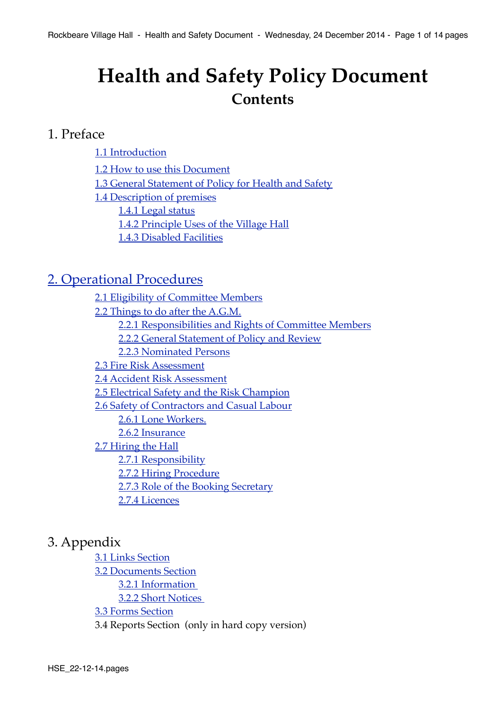## <span id="page-0-0"></span>**Health and Safety Policy Document Contents**

## 1. Preface

[1.1 Introduction](#page-1-0) **! !** [1.2 How to use this Document](#page-1-1) [1.3 General Statement of Policy for Health and Safety](#page-2-0) [1.4 Description of premises](#page-3-0) [1.4.1 Legal status](#page-3-1) [1.4.2 Principle Uses of the Village Hall](#page-3-2) [1.4.3 Disabled Facilities](#page-3-3)

## [2. Operational Procedures](#page-4-0)

[2.1 Eligibility of Committee Members](#page-4-1) [2.2 Things to do after the A.G.M.](#page-4-2) [2.2.1 Responsibilities and Rights of Committee Members](#page-4-3) [2.2.2 General Statement of Policy and Review](#page-4-4) [2.2.3 Nominated Persons](#page-5-0) [2.3 Fire Risk Assessment](#page-5-1) [2.4 Accident Risk Assessment](#page-6-0) [2.5 Electrical Safety and the Risk Champion](#page-6-1) [2.6 Safety of Contractors and Casual Labour](#page-6-2) [2.6.1 Lone Workers.](#page-7-0) [2.6.2 Insurance](#page-7-1) [2.7 Hiring the Hall](#page-7-2) [2.7.1 Responsibility](#page-8-0) [2.7.2 Hiring Procedure](#page-8-1) 2.7.3 Role of the Booking Secretary [2.7.4 Licences](#page-9-0)

## 3. Appendix

[3.1 Links Section](#page-10-0) ! ! [3.2 Documents Section](#page-11-0) 3.2.1 Information !!! [3.2.2 Short Notices](#page-12-0)  ! ! [3.3 Forms Section](#page-13-0) 3.4 Reports Section (only in hard copy version)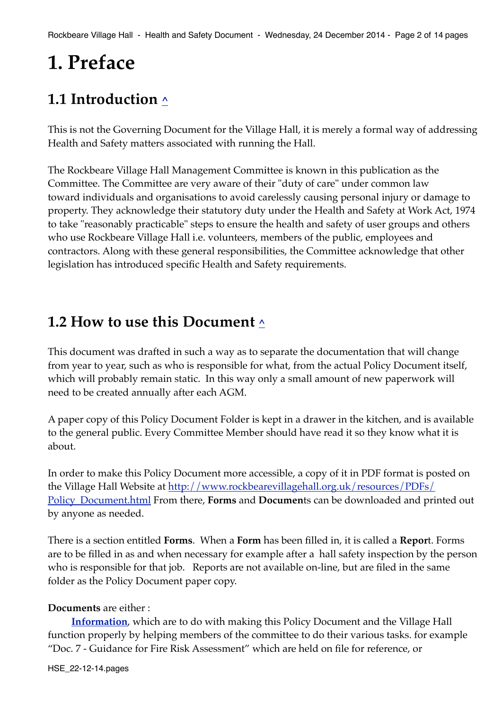## **1. Preface**

## <span id="page-1-0"></span>**1.1 Introduction [^](#page-0-0)**

This is not the Governing Document for the Village Hall, it is merely a formal way of addressing Health and Safety matters associated with running the Hall.

The Rockbeare Village Hall Management Committee is known in this publication as the Committee. The Committee are very aware of their "duty of care" under common law toward individuals and organisations to avoid carelessly causing personal injury or damage to property. They acknowledge their statutory duty under the Health and Safety at Work Act, 1974 to take "reasonably practicable" steps to ensure the health and safety of user groups and others who use Rockbeare Village Hall i.e. volunteers, members of the public, employees and contractors. Along with these general responsibilities, the Committee acknowledge that other legislation has introduced specific Health and Safety requirements.

## <span id="page-1-1"></span>**1.2 How to use this Document [^](#page-0-0)**

This document was drafted in such a way as to separate the documentation that will change from year to year, such as who is responsible for what, from the actual Policy Document itself, which will probably remain static. In this way only a small amount of new paperwork will need to be created annually after each AGM.

A paper copy of this Policy Document Folder is kept in a drawer in the kitchen, and is available to the general public. Every Committee Member should have read it so they know what it is about.

In order to make this Policy Document more accessible, a copy of it in PDF format is posted on the Village Hall Website at [http://www.rockbearevillagehall.org.uk/resources/PDFs/](http://www.rockbearevillagehall.org.uk/Village_Hall/Policy_Document.html) [Policy\\_Document.html](http://www.rockbearevillagehall.org.uk/Village_Hall/Policy_Document.html) From there, **Forms** and **Documen**ts can be downloaded and printed out by anyone as needed.

There is a section entitled **Forms**. When a **Form** has been filled in, it is called a **Repor**t. Forms are to be filled in as and when necessary for example after a hall safety inspection by the person who is responsible for that job. Reports are not available on-line, but are filed in the same folder as the Policy Document paper copy.

#### **Documents** are either :

**[Information](#page-11-1)**, which are to do with making this Policy Document and the Village Hall function properly by helping members of the committee to do their various tasks. for example "Doc. 7 - Guidance for Fire Risk Assessment" which are held on file for reference, or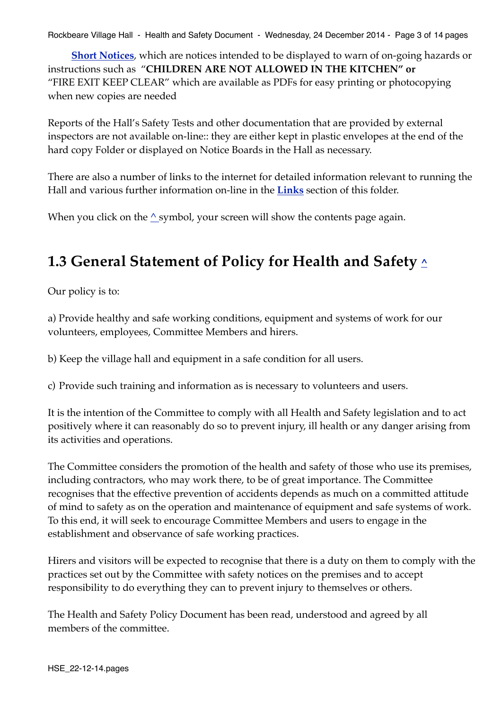Rockbeare Village Hall - Health and Safety Document - Wednesday, 24 December 2014 - Page 3 of 14 pages

**[Short Notices](#page-12-0)**, which are notices intended to be displayed to warn of on-going hazards or instructions such as "**CHILDREN ARE NOT ALLOWED IN THE KITCHEN" or**  "FIRE EXIT KEEP CLEAR" which are available as PDFs for easy printing or photocopying when new copies are needed

Reports of the Hall's Safety Tests and other documentation that are provided by external inspectors are not available on-line:: they are either kept in plastic envelopes at the end of the hard copy Folder or displayed on Notice Boards in the Hall as necessary.

There are also a number of links to the internet for detailed information relevant to running the Hall and various further information on-line in the **[Links](#page-10-1)** section of this folder.

When you click on the  $\wedge$  symbol, your screen will show the contents page again.

## <span id="page-2-0"></span>**1.3 General Statement of Policy for Health and Safety [^](#page-0-0)**

Our policy is to:

a) Provide healthy and safe working conditions, equipment and systems of work for our volunteers, employees, Committee Members and hirers.

b) Keep the village hall and equipment in a safe condition for all users.

c) Provide such training and information as is necessary to volunteers and users.

It is the intention of the Committee to comply with all Health and Safety legislation and to act positively where it can reasonably do so to prevent injury, ill health or any danger arising from its activities and operations.

The Committee considers the promotion of the health and safety of those who use its premises, including contractors, who may work there, to be of great importance. The Committee recognises that the effective prevention of accidents depends as much on a committed attitude of mind to safety as on the operation and maintenance of equipment and safe systems of work. To this end, it will seek to encourage Committee Members and users to engage in the establishment and observance of safe working practices.

Hirers and visitors will be expected to recognise that there is a duty on them to comply with the practices set out by the Committee with safety notices on the premises and to accept responsibility to do everything they can to prevent injury to themselves or others.

The Health and Safety Policy Document has been read, understood and agreed by all members of the committee.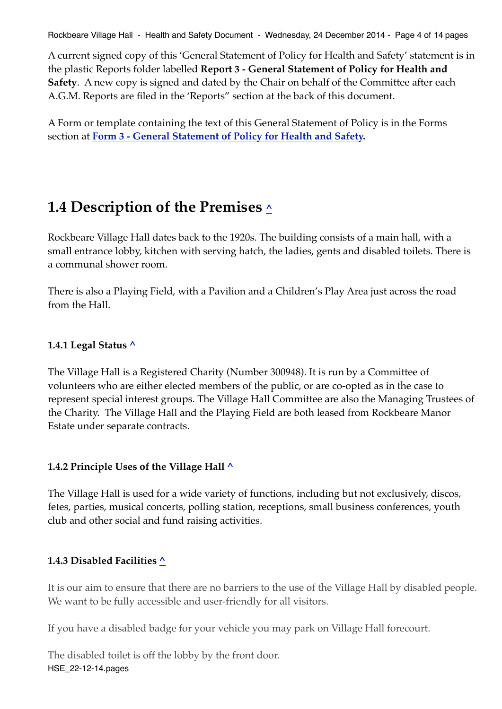Rockbeare Village Hall - Health and Safety Document - Wednesday, 24 December 2014 - Page 4 of 14 pages

A current signed copy of this 'General Statement of Policy for Health and Safety' statement is in the plastic Reports folder labelled **Report 3 - General Statement of Policy for Health and Safety**. A new copy is signed and dated by the Chair on behalf of the Committee after each A.G.M. Reports are filed in the 'Reports" section at the back of this document.

A Form or template containing the text of this General Statement of Policy is in the Forms section at **[Form 3 - General Statement of Policy for Health and Safety.](http://rockbearevillagehall.org.uk/resources/Policy_Document/PDFs/forms/Form_3.pdf)**

## <span id="page-3-0"></span>**1.4 Description of the Premises [^](#page-0-0)**

Rockbeare Village Hall dates back to the 1920s. The building consists of a main hall, with a small entrance lobby, kitchen with serving hatch, the ladies, gents and disabled toilets. There is a communal shower room.

There is also a Playing Field, with a Pavilion and a Children's Play Area just across the road from the Hall.

## <span id="page-3-1"></span>**1.4.1 Legal Status [^](#page-0-0)**

The Village Hall is a Registered Charity (Number 300948). It is run by a Committee of volunteers who are either elected members of the public, or are co-opted as in the case to represent special interest groups. The Village Hall Committee are also the Managing Trustees of the Charity. The Village Hall and the Playing Field are both leased from Rockbeare Manor Estate under separate contracts.

#### <span id="page-3-2"></span>**1.4.2 Principle Uses of the Village Hall [^](#page-0-0)**

The Village Hall is used for a wide variety of functions, including but not exclusively, discos, fetes, parties, musical concerts, polling station, receptions, small business conferences, youth club and other social and fund raising activities.

#### <span id="page-3-3"></span>**1.4.3 Disabled Facilities [^](#page-0-0)**

It is our aim to ensure that there are no barriers to the use of the Village Hall by disabled people. We want to be fully accessible and user-friendly for all visitors.

If you have a disabled badge for your vehicle you may park on Village Hall forecourt.

The disabled toilet is off the lobby by the front door. HSE\_22-12-14.pages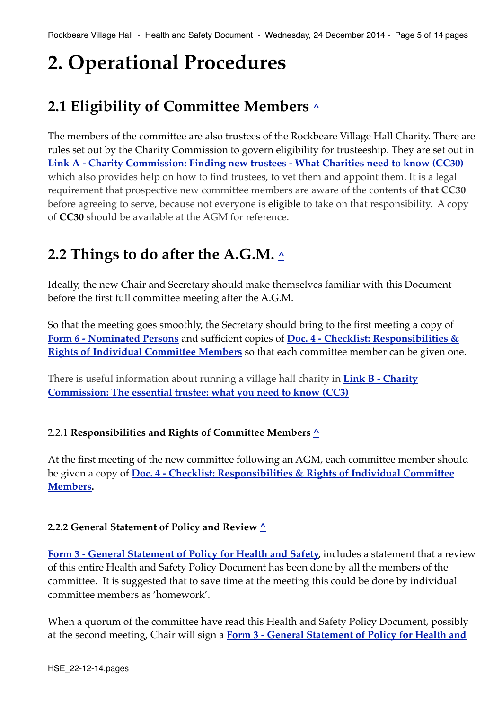## <span id="page-4-0"></span>**2. Operational Procedures**

## <span id="page-4-1"></span>**2.1 Eligibility of Committee Members [^](#page-0-0)**

The members of the committee are also trustees of the Rockbeare Village Hall Charity. There are rules set out by the Charity Commission to govern eligibility for trusteeship. They are set out in **[Link A - Charity Commission: Finding new trustees - What Charities need to know \(CC30\)](https://www.gov.uk/government/uploads/system/uploads/attachment_data/file/327864/cc30text.pdf)** which also provides help on how to find trustees, to vet them and appoint them. It is a legal requirement that prospective new committee members are aware of the contents of **that CC30** before agreeing to serve, because not everyone is eligible to take on that responsibility. A copy of **CC30** should be available at the AGM for reference.

## <span id="page-4-2"></span>**2.2 Things to do after the A.G.M. [^](#page-0-0)**

Ideally, the new Chair and Secretary should make themselves familiar with this Document before the first full committee meeting after the A.G.M.

So that the meeting goes smoothly, the Secretary should bring to the first meeting a copy of **[Form 6 - Nominated Persons](http://rockbearevillagehall.org.uk/resources/Policy_Document/PDFs/forms/Form_6.pdf)** and sufficient copies of **[Doc. 4 - Checklist: Responsibilities &](http://rockbearevillagehall.org.uk/resources/Policy_Document/PDFs/docs_info/Doc_4.pdf)  [Rights of Individual Committee Members](http://rockbearevillagehall.org.uk/resources/Policy_Document/PDFs/docs_info/Doc_4.pdf)** so that each committee member can be given one.

There is useful information about running a village hall charity in **[Link B - Charity](https://www.gov.uk/government/uploads/system/uploads/attachment_data/file/298865/cc3text.pdf)  [Commission: The essential trustee: what you need to know \(CC3\)](https://www.gov.uk/government/uploads/system/uploads/attachment_data/file/298865/cc3text.pdf)**

#### <span id="page-4-3"></span>2.2.1 **Responsibilities and Rights of Committee Members [^](#page-0-0)**

At the first meeting of the new committee following an AGM, each committee member should be given a copy of **[Doc. 4 - Checklist: Responsibilities & Rights of Individual Committee](http://rockbearevillagehall.org.uk/resources/Policy_Document/PDFs/docs-info/Doc_4.pdf)  [Members.](http://rockbearevillagehall.org.uk/resources/Policy_Document/PDFs/docs-info/Doc_4.pdf)**

#### <span id="page-4-4"></span>**2.2.2 General Statement of Policy and Review [^](#page-0-0)**

**[Form 3 - General Statement of Policy for Health and Safety,](http://rockbearevillagehall.org.uk/resources/Policy_Document/PDFs/forms/Form_3.pdf)** includes a statement that a review of this entire Health and Safety Policy Document has been done by all the members of the committee. It is suggested that to save time at the meeting this could be done by individual committee members as 'homework'.

When a quorum of the committee have read this Health and Safety Policy Document, possibly at the second meeting, Chair will sign a **[Form 3 - General Statement of Policy for Health and](http://rockbearevillagehall.org.uk/resources/Policy_Document/PDFs/forms/Form_3.pdf)**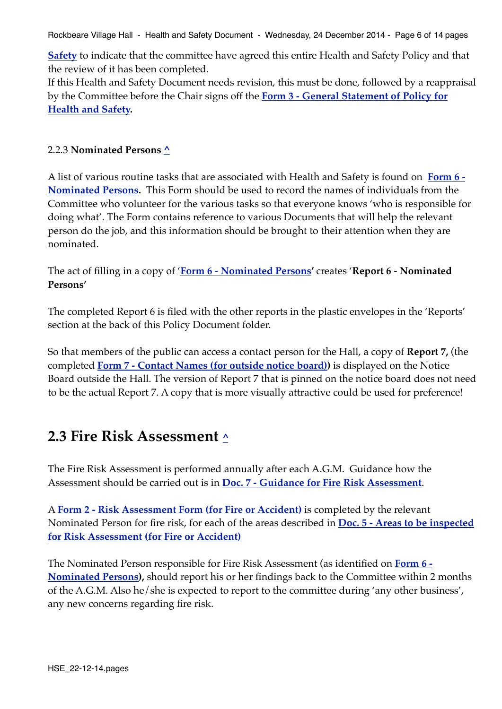Rockbeare Village Hall - Health and Safety Document - Wednesday, 24 December 2014 - Page 6 of 14 pages

**[Safety](http://rockbearevillagehall.org.uk/resources/Policy_Document/PDFs/forms/Form_3.pdf)** to indicate that the committee have agreed this entire Health and Safety Policy and that the review of it has been completed.

If this Health and Safety Document needs revision, this must be done, followed by a reappraisal by the Committee before the Chair signs off the **[Form 3 - General Statement of Policy for](http://rockbearevillagehall.org.uk/resources/Policy_Document/PDFs/forms/Form_3.pdf)  [Health and Safety](http://rockbearevillagehall.org.uk/resources/Policy_Document/PDFs/forms/Form_3.pdf).**

#### <span id="page-5-0"></span>2.2.3 **Nominated Persons [^](#page-0-0)**

A list of various routine tasks that are associated with Health and Safety is found on **[Form 6 -](http://rockbearevillagehall.org.uk/resources/Policy_Document/PDFs/forms/Form_6.pdf)  [Nominated Persons](http://rockbearevillagehall.org.uk/resources/Policy_Document/PDFs/forms/Form_6.pdf).** This Form should be used to record the names of individuals from the Committee who volunteer for the various tasks so that everyone knows 'who is responsible for doing what'. The Form contains reference to various Documents that will help the relevant person do the job, and this information should be brought to their attention when they are nominated.

The act of filling in a copy of '**[Form 6 - Nominated Persons](http://rockbearevillagehall.org.uk/resources/Policy_Document/PDFs/forms/Form_6.pdf)'** creates '**Report 6 - Nominated Persons'** 

The completed Report 6 is filed with the other reports in the plastic envelopes in the 'Reports' section at the back of this Policy Document folder.

So that members of the public can access a contact person for the Hall, a copy of **Report 7,** (the completed **[Form 7 - Contact Names \(for outside notice board\)](http://rockbearevillagehall.org.uk/resources/Policy_Document/PDFs/forms/Form_7.pdf))** is displayed on the Notice Board outside the Hall. The version of Report 7 that is pinned on the notice board does not need to be the actual Report 7. A copy that is more visually attractive could be used for preference!

## <span id="page-5-1"></span>**2.3 Fire Risk Assessment [^](#page-0-0)**

The Fire Risk Assessment is performed annually after each A.G.M. Guidance how the Assessment should be carried out is in **[Doc. 7 - Guidance for Fire Risk Assessment](http://rockbearevillagehall.org.uk/resources/Policy_Document/PDFs/docs_info/Doc_7.pdf)**.

A **[Form 2 - Risk Assessment Form \(for Fire or Accident\)](http://rockbearevillagehall.org.uk/resources/Policy_Document/PDFs/forms/Form_2.pdf)** is completed by the relevant Nominated Person for fire risk, for each of the areas described in **[Doc. 5 - Areas to be inspected](http://rockbearevillagehall.org.uk/resources/Policy_Document/PDFs/docs_info/Doc_5.pdf)  [for Risk Assessment \(for Fire or Accident\)](http://rockbearevillagehall.org.uk/resources/Policy_Document/PDFs/docs_info/Doc_5.pdf)**

The Nominated Person responsible for Fire Risk Assessment (as identified on **[Form 6 -](http://rockbearevillagehall.org.uk/resources/Policy_Document/PDFs/forms/Form_6.pdf)  [Nominated Persons](http://rockbearevillagehall.org.uk/resources/Policy_Document/PDFs/forms/Form_6.pdf)),** should report his or her findings back to the Committee within 2 months of the A.G.M. Also he/she is expected to report to the committee during 'any other business', any new concerns regarding fire risk.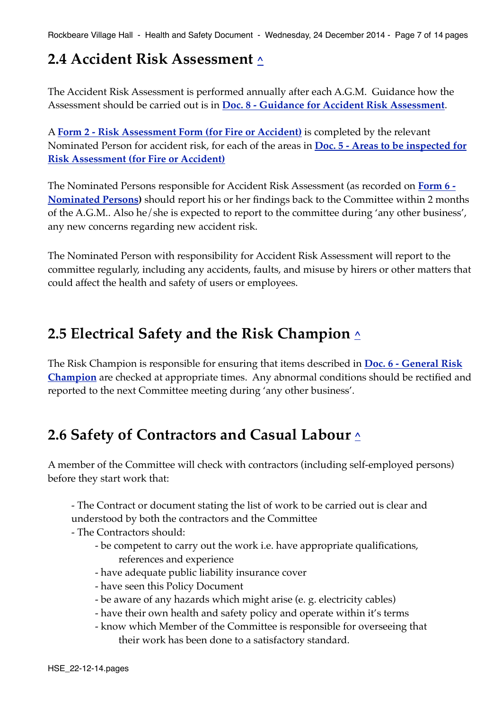Rockbeare Village Hall - Health and Safety Document - Wednesday, 24 December 2014 - Page 7 of 14 pages

## <span id="page-6-0"></span>**2.4 Accident Risk Assessment [^](#page-0-0)**

The Accident Risk Assessment is performed annually after each A.G.M. Guidance how the Assessment should be carried out is in **[Doc. 8 - Guidance for Accident Risk Assessment](http://rockbearevillagehall.org.uk/resources/Policy_Document/PDFs/docs_info/Doc_8.pdf)**.

A **[Form 2 - Risk Assessment Form \(for Fire or Accident\)](http://rockbearevillagehall.org.uk/resources/Policy_Document/PDFs/forms/Form_2.pdf)** is completed by the relevant Nominated Person for accident risk, for each of the areas in **[Doc. 5 - Areas to be inspected for](http://rockbearevillagehall.org.uk/resources/Policy_Document/PDFs/docs_info/Doc_5.pdf)  [Risk Assessment \(for Fire or Accident\)](http://rockbearevillagehall.org.uk/resources/Policy_Document/PDFs/docs_info/Doc_5.pdf)**

The Nominated Persons responsible for Accident Risk Assessment (as recorded on **[Form 6 -](http://rockbearevillagehall.org.uk/resources/Policy_Document/PDFs/forms/Form_6.pdf)  [Nominated Persons](http://rockbearevillagehall.org.uk/resources/Policy_Document/PDFs/forms/Form_6.pdf))** should report his or her findings back to the Committee within 2 months of the A.G.M.. Also he/she is expected to report to the committee during 'any other business', any new concerns regarding new accident risk.

The Nominated Person with responsibility for Accident Risk Assessment will report to the committee regularly, including any accidents, faults, and misuse by hirers or other matters that could affect the health and safety of users or employees.

## <span id="page-6-1"></span>**2.5 Electrical Safety and the Risk Champion [^](#page-0-0)**

The Risk Champion is responsible for ensuring that items described in **[Doc. 6 - General Risk](http://rockbearevillagehall.org.uk/resources/Policy_Document/PDFs/docs_info/Doc_6.pdf)  [Champion](http://rockbearevillagehall.org.uk/resources/Policy_Document/PDFs/docs_info/Doc_6.pdf)** are checked at appropriate times. Any abnormal conditions should be rectified and reported to the next Committee meeting during 'any other business'.

## <span id="page-6-2"></span>**2.6 Safety of Contractors and Casual Labour [^](#page-0-0)**

A member of the Committee will check with contractors (including self-employed persons) before they start work that:

- The Contract or document stating the list of work to be carried out is clear and understood by both the contractors and the Committee

- The Contractors should:
	- ! ! be competent to carry out the work i.e. have appropriate qualifications, references and experience
	- have adequate public liability insurance cover
	- have seen this Policy Document
	- ! ! be aware of any hazards which might arise (e. g. electricity cables)
	- ! ! have their own health and safety policy and operate within it's terms
	- ! ! know which Member of the Committee is responsible for overseeing that their work has been done to a satisfactory standard.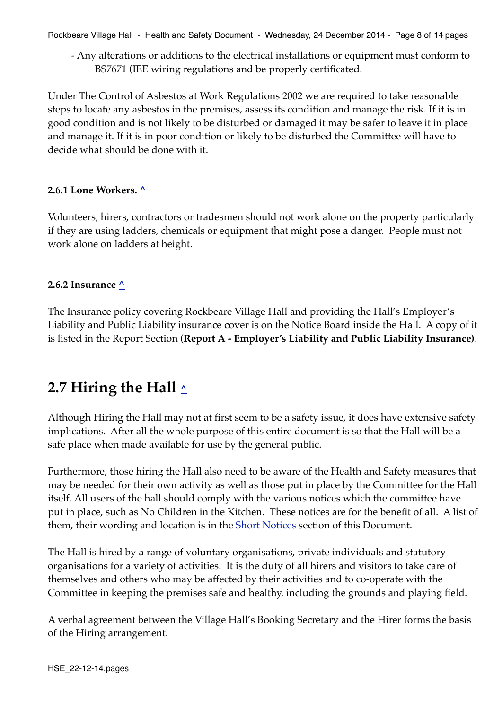Rockbeare Village Hall - Health and Safety Document - Wednesday, 24 December 2014 - Page 8 of 14 pages

- Any alterations or additions to the electrical installations or equipment must conform to BS7671 (IEE wiring regulations and be properly certificated.

Under The Control of Asbestos at Work Regulations 2002 we are required to take reasonable steps to locate any asbestos in the premises, assess its condition and manage the risk. If it is in good condition and is not likely to be disturbed or damaged it may be safer to leave it in place and manage it. If it is in poor condition or likely to be disturbed the Committee will have to decide what should be done with it.

#### <span id="page-7-0"></span>**2.6.1 Lone Workers. [^](#page-0-0)**

Volunteers, hirers, contractors or tradesmen should not work alone on the property particularly if they are using ladders, chemicals or equipment that might pose a danger. People must not work alone on ladders at height.

## <span id="page-7-1"></span>**2.6.2 Insurance [^](#page-0-0)**

The Insurance policy covering Rockbeare Village Hall and providing the Hall's Employer's Liability and Public Liability insurance cover is on the Notice Board inside the Hall. A copy of it is listed in the Report Section (**Report A - Employer's Liability and Public Liability Insurance)**.

## <span id="page-7-2"></span>**2.7 Hiring the Hall [^](#page-0-0)**

Although Hiring the Hall may not at first seem to be a safety issue, it does have extensive safety implications. After all the whole purpose of this entire document is so that the Hall will be a safe place when made available for use by the general public.

Furthermore, those hiring the Hall also need to be aware of the Health and Safety measures that may be needed for their own activity as well as those put in place by the Committee for the Hall itself. All users of the hall should comply with the various notices which the committee have put in place, such as No Children in the Kitchen. These notices are for the benefit of all. A list of them, their wording and location is in the **[Short Notices](#page-12-0)** section of this Document.

The Hall is hired by a range of voluntary organisations, private individuals and statutory organisations for a variety of activities. It is the duty of all hirers and visitors to take care of themselves and others who may be affected by their activities and to co-operate with the Committee in keeping the premises safe and healthy, including the grounds and playing field.

A verbal agreement between the Village Hall's Booking Secretary and the Hirer forms the basis of the Hiring arrangement.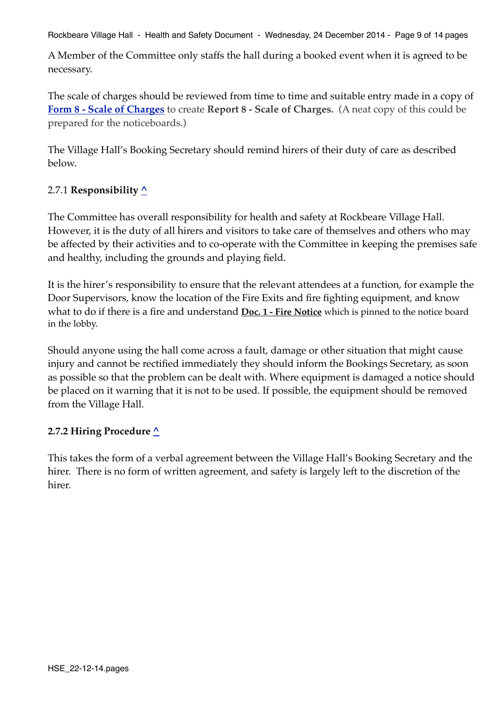Rockbeare Village Hall - Health and Safety Document - Wednesday, 24 December 2014 - Page 9 of 14 pages

A Member of the Committee only staffs the hall during a booked event when it is agreed to be necessary.

The scale of charges should be reviewed from time to time and suitable entry made in a copy of **[Form 8 - Scale of Charges](http://rockbearevillagehall.org.uk/resources/Policy_Document/PDFs/forms/Form_8.pdf)** to create **Report 8 - Scale of Charges.** (A neat copy of this could be prepared for the noticeboards.)

The Village Hall's Booking Secretary should remind hirers of their duty of care as described below.

## <span id="page-8-0"></span>2.7.1 **Responsibility [^](#page-0-0)**

The Committee has overall responsibility for health and safety at Rockbeare Village Hall. However, it is the duty of all hirers and visitors to take care of themselves and others who may be affected by their activities and to co-operate with the Committee in keeping the premises safe and healthy, including the grounds and playing field.

It is the hirer's responsibility to ensure that the relevant attendees at a function, for example the Door Supervisors, know the location of the Fire Exits and fire fighting equipment, and know what to do if there is a fire and understand **[Doc. 1 - Fire Notice](http://rockbearevillagehall.org.uk/resources/Policy_Document/PDFs/docs_info/Doc_13.pdf)** which is pinned to the notice board in the lobby.

Should anyone using the hall come across a fault, damage or other situation that might cause injury and cannot be rectified immediately they should inform the Bookings Secretary, as soon as possible so that the problem can be dealt with. Where equipment is damaged a notice should be placed on it warning that it is not to be used. If possible, the equipment should be removed from the Village Hall.

#### <span id="page-8-1"></span>**2.7.2 Hiring Procedure [^](#page-0-0)**

This takes the form of a verbal agreement between the Village Hall's Booking Secretary and the hirer. There is no form of written agreement, and safety is largely left to the discretion of the hirer.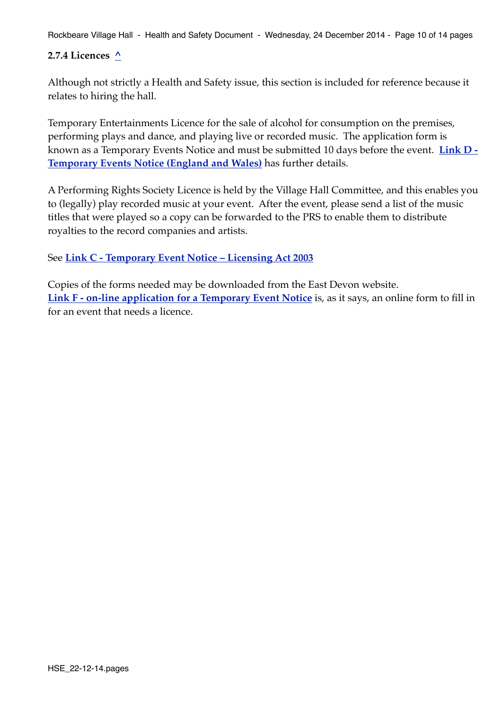Rockbeare Village Hall - Health and Safety Document - Wednesday, 24 December 2014 - Page 10 of 14 pages

#### <span id="page-9-0"></span>**2.7.4 Licences [^](#page-0-0)**

Although not strictly a Health and Safety issue, this section is included for reference because it relates to hiring the hall.

Temporary Entertainments Licence for the sale of alcohol for consumption on the premises, performing plays and dance, and playing live or recorded music. The application form is known as a Temporary Events Notice and must be submitted 10 days before the event. **[Link D -](https://www.gov.uk/temporary-events-notice)  [Temporary Events Notice \(England and Wales\)](https://www.gov.uk/temporary-events-notice)** has further details.

A Performing Rights Society Licence is held by the Village Hall Committee, and this enables you to (legally) play recorded music at your event. After the event, please send a list of the music titles that were played so a copy can be forwarded to the PRS to enable them to distribute royalties to the record companies and artists.

See **[Link C - Temporary Event Notice – Licensing Act 2003](http://www.eastdevon.gov.uk/ten_app_form_edt001_8.10.12-2.pdf)**

Copies of the forms needed may be downloaded from the East Devon website. **[Link F - on-line application for a Temporary Event Notice](https://selfservice.eastdevon.gov.uk/CitizenPortal/form.aspx?form=Temporary_Event_Notice)** is, as it says, an online form to fill in for an event that needs a licence.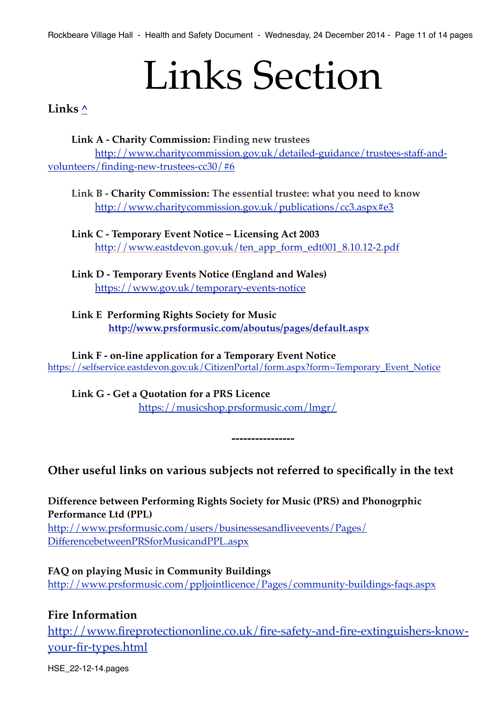# Links Section

<span id="page-10-1"></span><span id="page-10-0"></span>**Links [^](#page-0-0)**

**Link A - Charity Commission: Finding new trustees** [http://www.charitycommission.gov.uk/detailed-guidance/trustees-staff-and](http://www.charitycommission.gov.uk/detailed-guidance/trustees-staff-and-volunteers/finding-new-trustees-cc30/#6)[volunteers/finding-new-trustees-cc30/#6](http://www.charitycommission.gov.uk/detailed-guidance/trustees-staff-and-volunteers/finding-new-trustees-cc30/#6)

**Link B - Charity Commission: The essential trustee: what you need to know** <http://www.charitycommission.gov.uk/publications/cc3.aspx#e3>

**Link C - Temporary Event Notice – Licensing Act 2003** [http://www.eastdevon.gov.uk/ten\\_app\\_form\\_edt001\\_8.10.12-2.pdf](http://www.eastdevon.gov.uk/ten_app_form_edt001_8.10.12-2.pdf)

**Link D - Temporary Events Notice (England and Wales)** <https://www.gov.uk/temporary-events-notice>

**Link E Performing Rights Society for Music ! ! <http://www.prsformusic.com/aboutus/pages/default.aspx>**

**Link F - on-line application for a Temporary Event Notice**  [https://selfservice.eastdevon.gov.uk/CitizenPortal/form.aspx?form=Temporary\\_Event\\_Notice](https://selfservice.eastdevon.gov.uk/CitizenPortal/form.aspx?form=Temporary_Event_Notice)

**Link G - Get a Quotation for a PRS Licence** !!! <https://musicshop.prsformusic.com/lmgr/>

**Other useful links on various subjects not referred to specifically in the text**

**----------------**

**Difference between Performing Rights Society for Music (PRS) and Phonogrphic Performance Ltd (PPL)** [http://www.prsformusic.com/users/businessesandliveevents/Pages/](http://www.prsformusic.com/users/businessesandliveevents/Pages/DifferencebetweenPRSforMusicandPPL.aspx)

[DifferencebetweenPRSforMusicandPPL.aspx](http://www.prsformusic.com/users/businessesandliveevents/Pages/DifferencebetweenPRSforMusicandPPL.aspx)

**FAQ on playing Music in Community Buildings** <http://www.prsformusic.com/ppljointlicence/Pages/community-buildings-faqs.aspx>

**Fire Information**

[http://www.fireprotectiononline.co.uk/fire-safety-and-fire-extinguishers-know](http://www.fireprotectiononline.co.uk/fire-safety-and-fire-extinguishers-know-your-fire-types.html)[your-fir-types.html](http://www.fireprotectiononline.co.uk/fire-safety-and-fire-extinguishers-know-your-fire-types.html)

HSE\_22-12-14.pages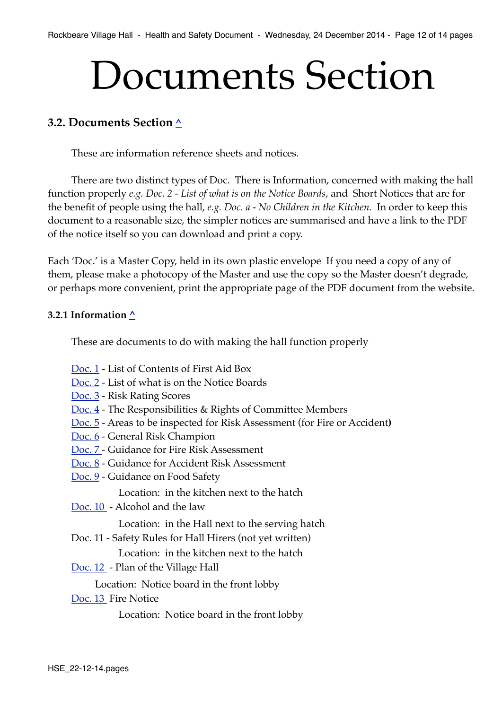# Documents Section

## <span id="page-11-0"></span>**3.2. Documents Section [^](#page-0-0)**

These are information reference sheets and notices.

There are two distinct types of Doc. There is Information, concerned with making the hall function properly *e.g. Doc. 2 - List of what is on the Notice Boards*, and Short Notices that are for the benefit of people using the hall, *e.g. Doc. a - No Children in the Kitchen.* In order to keep this document to a reasonable size, the simpler notices are summarised and have a link to the PDF of the notice itself so you can download and print a copy.

Each 'Doc.' is a Master Copy, held in its own plastic envelope If you need a copy of any of them, please make a photocopy of the Master and use the copy so the Master doesn't degrade, or perhaps more convenient, print the appropriate page of the PDF document from the website.

#### <span id="page-11-1"></span>**3.2.1 Information [^](#page-0-0)**

These are documents to do with making the hall function properly

- [Doc. 1](http://rockbearevillagehall.org.uk/resources/Policy_Document/PDFs/docs_info/Doc_1.pdf)  List of Contents of First Aid Box
- [Doc. 2](http://rockbearevillagehall.org.uk/resources/Policy_Document/PDFs/docs_info/Doc_2.pdf)  List of what is on the Notice Boards
- [Doc. 3](http://rockbearevillagehall.org.uk/resources/Policy_Document/PDFs/docs_info/Doc_3.pdf)  Risk Rating Scores
- [Doc. 4](http://rockbearevillagehall.org.uk/resources/Policy_Document/PDFs/docs_info/Doc_4.pdf)  The Responsibilities & Rights of Committee Members
- [Doc. 5](http://rockbearevillagehall.org.uk/resources/Policy_Document/PDFs/docs_info/Doc_5.pdf)  Areas to be inspected for Risk Assessment (for Fire or Accident**)**
- [Doc. 6](http://rockbearevillagehall.org.uk/resources/Policy_Document/PDFs/docs_info/Doc_6.pdf)  General Risk Champion
- [Doc. 7 -](http://rockbearevillagehall.org.uk/resources/Policy_Document/PDFs/docs_info/Doc_7.pdf) Guidance for Fire Risk Assessment
- [Doc. 8](http://rockbearevillagehall.org.uk/resources/Policy_Document/PDFs/docs_info/Doc_8.pdf)  Guidance for Accident Risk Assessment
- [Doc. 9](http://rockbearevillagehall.org.uk/resources/Policy_Document/PDFs/docs_info/Doc_9.pdf)  Guidance on Food Safety
	- Location: in the kitchen next to the hatch
- [Doc. 10](http://rockbearevillagehall.org.uk/resources/Policy_Document/PDFs/docs_info/Doc_10.pdf)  Alcohol and the law

Location: in the Hall next to the serving hatch

Doc. 11 - Safety Rules for Hall Hirers (not yet written)

Location: in the kitchen next to the hatch

[Doc. 12](http://rockbearevillagehall.org.uk/resources/Policy_Document/PDFs/docs_info/Doc_12.pdf) - Plan of the Village Hall

Location: Notice board in the front lobby

[Doc. 13](http://rockbearevillagehall.org.uk/resources/Policy_Document/PDFs/docs_info/Doc_13.pdf) Fire Notice

Location: Notice board in the front lobby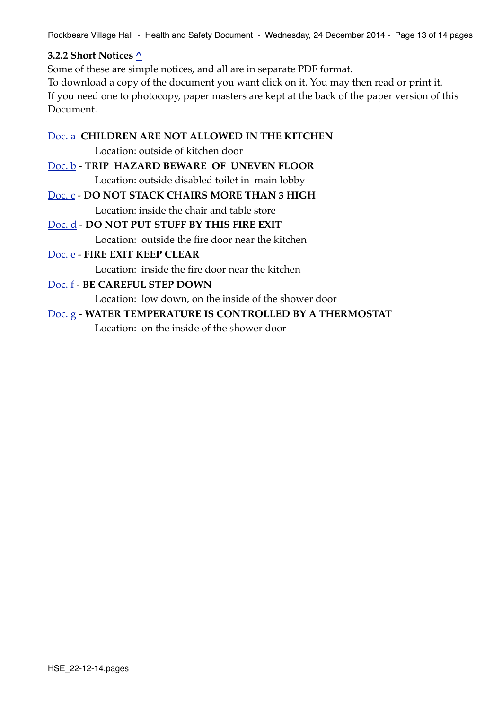Rockbeare Village Hall - Health and Safety Document - Wednesday, 24 December 2014 - Page 13 of 14 pages

#### <span id="page-12-0"></span>**3.2.2 Short Notices [^](#page-0-0)**

Some of these are simple notices, and all are in separate PDF format. To download a copy of the document you want click on it. You may then read or print it. If you need one to photocopy, paper masters are kept at the back of the paper version of this Document.

[Doc. a](http://rockbearevillagehall.org.uk/resources/Policy_Document/PDFs/docs_notices/Doc_a.pdf) **CHILDREN ARE NOT ALLOWED IN THE KITCHEN**

**! !** Location: outside of kitchen door

[Doc. b](http://rockbearevillagehall.org.uk/resources/Policy_Document/PDFs/docs_notices/Doc_b.pdf) - **TRIP HAZARD BEWARE OF UNEVEN FLOOR ! !** Location: outside disabled toilet in main lobby

[Doc. c](http://rockbearevillagehall.org.uk/resources/Policy_Document/PDFs/docs_notices/Doc_c.pdf) - **DO NOT STACK CHAIRS MORE THAN 3 HIGH ! !** Location: inside the chair and table store

[Doc. d](http://rockbearevillagehall.org.uk/resources/Policy_Document/PDFs/docs_notices/Doc_d.pdf) - **DO NOT PUT STUFF BY THIS FIRE EXIT**

**! !** Location: outside the fire door near the kitchen

## [Doc. e](http://rockbearevillagehall.org.uk/resources/Policy_Document/PDFs/docs_notices/Doc_e.pdf) - **FIRE EXIT KEEP CLEAR**

**! !** Location: inside the fire door near the kitchen

## [Doc. f](http://rockbearevillagehall.org.uk/resources/Policy_Document/PDFs/docs_notices/Doc_f.pdf) - **BE CAREFUL STEP DOWN**

**! !** Location: low down, on the inside of the shower door

## [Doc. g](http://rockbearevillagehall.org.uk/resources/Policy_Document/PDFs/docs_notices/Doc_g.pdf) - **WATER TEMPERATURE IS CONTROLLED BY A THERMOSTAT**

**! !** Location: on the inside of the shower door